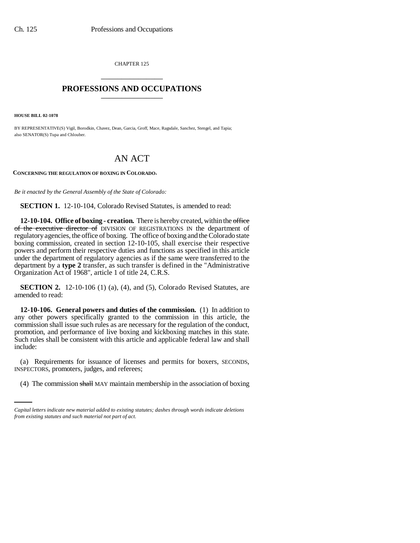CHAPTER 125 \_\_\_\_\_\_\_\_\_\_\_\_\_\_\_

## **PROFESSIONS AND OCCUPATIONS** \_\_\_\_\_\_\_\_\_\_\_\_\_\_\_

**HOUSE BILL 02-1078**

BY REPRESENTATIVE(S) Vigil, Borodkin, Chavez, Dean, Garcia, Groff, Mace, Ragsdale, Sanchez, Stengel, and Tapia; also SENATOR(S) Tupa and Chlouber.

## AN ACT

**CONCERNING THE REGULATION OF BOXING IN COLORADO.**

*Be it enacted by the General Assembly of the State of Colorado:*

**SECTION 1.** 12-10-104, Colorado Revised Statutes, is amended to read:

**12-10-104. Office of boxing - creation.** There is hereby created, within the office of the executive director of DIVISION OF REGISTRATIONS IN the department of regulatory agencies, the office of boxing. The office of boxing and the Colorado state boxing commission, created in section 12-10-105, shall exercise their respective powers and perform their respective duties and functions as specified in this article under the department of regulatory agencies as if the same were transferred to the department by a **type 2** transfer, as such transfer is defined in the "Administrative Organization Act of 1968", article 1 of title 24, C.R.S.

**SECTION 2.** 12-10-106 (1) (a), (4), and (5), Colorado Revised Statutes, are amended to read:

**12-10-106. General powers and duties of the commission.** (1) In addition to any other powers specifically granted to the commission in this article, the commission shall issue such rules as are necessary for the regulation of the conduct, promotion, and performance of live boxing and kickboxing matches in this state. Such rules shall be consistent with this article and applicable federal law and shall include:

(a) Requirements for issuance of needst<br>INSPECTORS, promoters, judges, and referees; (a) Requirements for issuance of licenses and permits for boxers, SECONDS,

(4) The commission shall MAY maintain membership in the association of boxing

*Capital letters indicate new material added to existing statutes; dashes through words indicate deletions from existing statutes and such material not part of act.*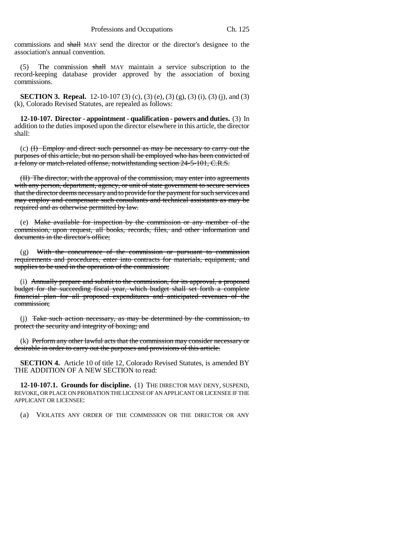commissions and shall MAY send the director or the director's designee to the association's annual convention.

(5) The commission shall MAY maintain a service subscription to the record-keeping database provider approved by the association of boxing commissions.

**SECTION 3. Repeal.** 12-10-107 (3) (c), (3) (e), (3) (g), (3) (i), (3) (j), and (3) (k), Colorado Revised Statutes, are repealed as follows:

**12-10-107. Director - appointment - qualification - powers and duties.** (3) In addition to the duties imposed upon the director elsewhere in this article, the director shall:

(c) (I) Employ and direct such personnel as may be necessary to carry out the purposes of this article, but no person shall be employed who has been convicted of a felony or match-related offense, notwithstanding section 24-5-101, C.R.S.

(II) The director, with the approval of the commission, may enter into agreements with any person, department, agency, or unit of state government to secure services that the director deems necessary and to provide for the payment for such services and may employ and compensate such consultants and technical assistants as may be required and as otherwise permitted by law.

(e) Make available for inspection by the commission or any member of the commission, upon request, all books, records, files, and other information and documents in the director's office;

(g) With the concurrence of the commission or pursuant to commission requirements and procedures, enter into contracts for materials, equipment, and supplies to be used in the operation of the commission;

(i) Annually prepare and submit to the commission, for its approval, a proposed budget for the succeeding fiscal year, which budget shall set forth a complete financial plan for all proposed expenditures and anticipated revenues of the commission;

(j) Take such action necessary, as may be determined by the commission, to protect the security and integrity of boxing; and

(k) Perform any other lawful acts that the commission may consider necessary or desirable in order to carry out the purposes and provisions of this article.

**SECTION 4.** Article 10 of title 12, Colorado Revised Statutes, is amended BY THE ADDITION OF A NEW SECTION to read:

**12-10-107.1. Grounds for discipline.** (1) THE DIRECTOR MAY DENY, SUSPEND, REVOKE, OR PLACE ON PROBATION THE LICENSE OF AN APPLICANT OR LICENSEE IF THE APPLICANT OR LICENSEE:

(a) VIOLATES ANY ORDER OF THE COMMISSION OR THE DIRECTOR OR ANY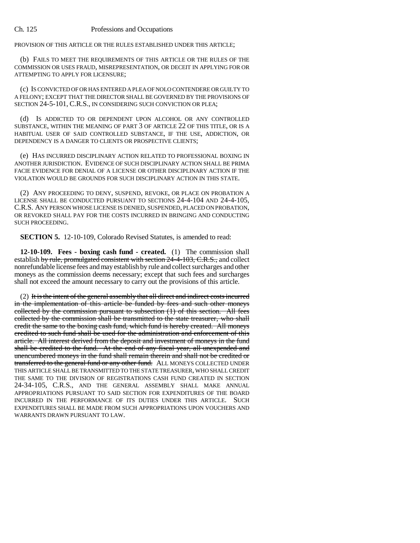PROVISION OF THIS ARTICLE OR THE RULES ESTABLISHED UNDER THIS ARTICLE;

(b) FAILS TO MEET THE REQUIREMENTS OF THIS ARTICLE OR THE RULES OF THE COMMISSION OR USES FRAUD, MISREPRESENTATION, OR DECEIT IN APPLYING FOR OR ATTEMPTING TO APPLY FOR LICENSURE;

(c) IS CONVICTED OF OR HAS ENTERED A PLEA OF NOLO CONTENDERE OR GUILTY TO A FELONY; EXCEPT THAT THE DIRECTOR SHALL BE GOVERNED BY THE PROVISIONS OF SECTION 24-5-101, C.R.S., IN CONSIDERING SUCH CONVICTION OR PLEA;

(d) IS ADDICTED TO OR DEPENDENT UPON ALCOHOL OR ANY CONTROLLED SUBSTANCE, WITHIN THE MEANING OF PART 3 OF ARTICLE 22 OF THIS TITLE, OR IS A HABITUAL USER OF SAID CONTROLLED SUBSTANCE, IF THE USE, ADDICTION, OR DEPENDENCY IS A DANGER TO CLIENTS OR PROSPECTIVE CLIENTS;

(e) HAS INCURRED DISCIPLINARY ACTION RELATED TO PROFESSIONAL BOXING IN ANOTHER JURISDICTION. EVIDENCE OF SUCH DISCIPLINARY ACTION SHALL BE PRIMA FACIE EVIDENCE FOR DENIAL OF A LICENSE OR OTHER DISCIPLINARY ACTION IF THE VIOLATION WOULD BE GROUNDS FOR SUCH DISCIPLINARY ACTION IN THIS STATE.

(2) ANY PROCEEDING TO DENY, SUSPEND, REVOKE, OR PLACE ON PROBATION A LICENSE SHALL BE CONDUCTED PURSUANT TO SECTIONS 24-4-104 AND 24-4-105, C.R.S. ANY PERSON WHOSE LICENSE IS DENIED, SUSPENDED, PLACED ON PROBATION, OR REVOKED SHALL PAY FOR THE COSTS INCURRED IN BRINGING AND CONDUCTING SUCH PROCEEDING.

**SECTION 5.** 12-10-109, Colorado Revised Statutes, is amended to read:

**12-10-109. Fees - boxing cash fund - created.** (1) The commission shall establish by rule, promulgated consistent with section 24-4-103, C.R.S., and collect nonrefundable license fees and may establish by rule and collect surcharges and other moneys as the commission deems necessary; except that such fees and surcharges shall not exceed the amount necessary to carry out the provisions of this article.

(2) It is the intent of the general assembly that all direct and indirect costs incurred in the implementation of this article be funded by fees and such other moneys collected by the commission pursuant to subsection  $(1)$  of this section. All fees collected by the commission shall be transmitted to the state treasurer, who shall credit the same to the boxing cash fund, which fund is hereby created. All moneys credited to such fund shall be used for the administration and enforcement of this article. All interest derived from the deposit and investment of moneys in the fund shall be credited to the fund. At the end of any fiscal year, all unexpended and unencumbered moneys in the fund shall remain therein and shall not be credited or transferred to the general fund or any other fund. ALL MONEYS COLLECTED UNDER THIS ARTICLE SHALL BE TRANSMITTED TO THE STATE TREASURER, WHO SHALL CREDIT THE SAME TO THE DIVISION OF REGISTRATIONS CASH FUND CREATED IN SECTION 24-34-105, C.R.S., AND THE GENERAL ASSEMBLY SHALL MAKE ANNUAL APPROPRIATIONS PURSUANT TO SAID SECTION FOR EXPENDITURES OF THE BOARD INCURRED IN THE PERFORMANCE OF ITS DUTIES UNDER THIS ARTICLE. SUCH EXPENDITURES SHALL BE MADE FROM SUCH APPROPRIATIONS UPON VOUCHERS AND WARRANTS DRAWN PURSUANT TO LAW.